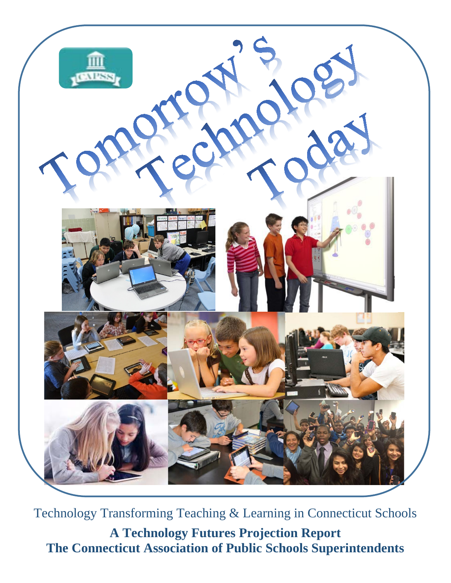

Technology Transforming Teaching & Learning in Connecticut Schools **A Technology Futures Projection Report The Connecticut Association of Public Schools Superintendents**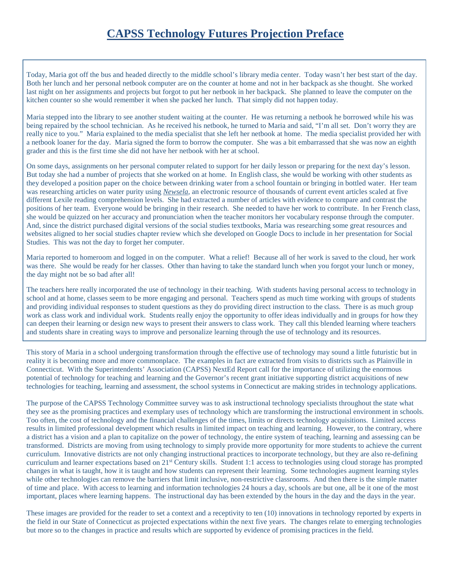Today, Maria got off the bus and headed directly to the middle school's library media center. Today wasn't her best start of the day. Both her lunch and her personal netbook computer are on the counter at home and not in her backpack as she thought. She worked last night on her assignments and projects but forgot to put her netbook in her backpack. She planned to leave the computer on the kitchen counter so she would remember it when she packed her lunch. That simply did not happen today.

Maria stepped into the library to see another student waiting at the counter. He was returning a netbook he borrowed while his was being repaired by the school technician. As he received his netbook, he turned to Maria and said, "I'm all set. Don't worry they are really nice to you." Maria explained to the media specialist that she left her netbook at home. The media specialist provided her with a netbook loaner for the day. Maria signed the form to borrow the computer. She was a bit embarrassed that she was now an eighth grader and this is the first time she did not have her netbook with her at school.

On some days, assignments on her personal computer related to support for her daily lesson or preparing for the next day's lesson. But today she had a number of projects that she worked on at home. In English class, she would be working with other students as they developed a position paper on the choice between drinking water from a school fountain or bringing in bottled water. Her team was researching articles on water purity using *Newsela*, an electronic resource of thousands of current event articles scaled at five different Lexile reading comprehension levels. She had extracted a number of articles with evidence to compare and contrast the positions of her team. Everyone would be bringing in their research. She needed to have her work to contribute. In her French class, she would be quizzed on her accuracy and pronunciation when the teacher monitors her vocabulary response through the computer. And, since the district purchased digital versions of the social studies textbooks, Maria was researching some great resources and websites aligned to her social studies chapter review which she developed on Google Docs to include in her presentation for Social Studies. This was not the day to forget her computer.

Maria reported to homeroom and logged in on the computer. What a relief! Because all of her work is saved to the cloud, her work was there. She would be ready for her classes. Other than having to take the standard lunch when you forgot your lunch or money, the day might not be so bad after all!

The teachers here really incorporated the use of technology in their teaching. With students having personal access to technology in school and at home, classes seem to be more engaging and personal. Teachers spend as much time working with groups of students and providing individual responses to student questions as they do providing direct instruction to the class. There is as much group work as class work and individual work. Students really enjoy the opportunity to offer ideas individually and in groups for how they can deepen their learning or design new ways to present their answers to class work. They call this blended learning where teachers and students share in creating ways to improve and personalize learning through the use of technology and its resources.

This story of Maria in a school undergoing transformation through the effective use of technology may sound a little futuristic but in reality it is becoming more and more commonplace. The examples in fact are extracted from visits to districts such as Plainville in Connecticut. With the Superintendents' Association (CAPSS) NextEd Report call for the importance of utilizing the enormous potential of technology for teaching and learning and the Governor's recent grant initiative supporting district acquisitions of new technologies for teaching, learning and assessment, the school systems in Connecticut are making strides in technology applications.

The purpose of the CAPSS Technology Committee survey was to ask instructional technology specialists throughout the state what they see as the promising practices and exemplary uses of technology which are transforming the instructional environment in schools. Too often, the cost of technology and the financial challenges of the times, limits or directs technology acquisitions. Limited access results in limited professional development which results in limited impact on teaching and learning. However, to the contrary, where a district has a vision and a plan to capitalize on the power of technology, the entire system of teaching, learning and assessing can be transformed. Districts are moving from using technology to simply provide more opportunity for more students to achieve the current curriculum. Innovative districts are not only changing instructional practices to incorporate technology, but they are also re-defining curriculum and learner expectations based on 21st Century skills. Student 1:1 access to technologies using cloud storage has prompted changes in what is taught, how it is taught and how students can represent their learning. Some technologies augment learning styles while other technologies can remove the barriers that limit inclusive, non-restrictive classrooms. And then there is the simple matter of time and place. With access to learning and information technologies 24 hours a day, schools are but one, all be it one of the most important, places where learning happens. The instructional day has been extended by the hours in the day and the days in the year.

These images are provided for the reader to set a context and a receptivity to ten (10) innovations in technology reported by experts in the field in our State of Connecticut as projected expectations within the next five years. The changes relate to emerging technologies but more so to the changes in practice and results which are supported by evidence of promising practices in the field.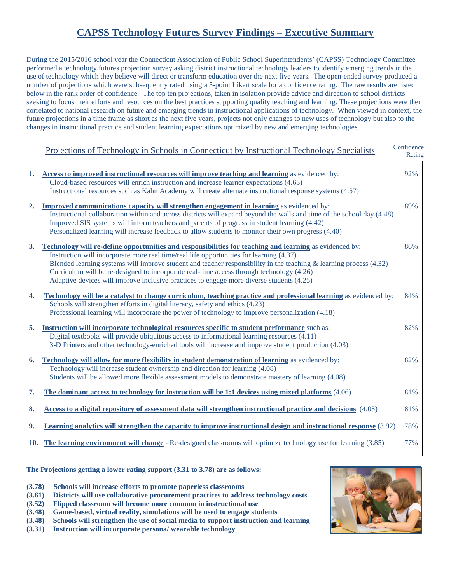## **CAPSS Technology Futures Survey Findings – Executive Summary**

During the 2015/2016 school year the Connecticut Association of Public School Superintendents' (CAPSS) Technology Committee performed a technology futures projection survey asking district instructional technology leaders to identify emerging trends in the use of technology which they believe will direct or transform education over the next five years. The open-ended survey produced a number of projections which were subsequently rated using a 5-point Likert scale for a confidence rating. The raw results are listed below in the rank order of confidence. The top ten projections, taken in isolation provide advice and direction to school districts seeking to focus their efforts and resources on the best practices supporting quality teaching and learning. These projections were then correlated to national research on future and emerging trends in instructional applications of technology. When viewed in context, the future projections in a time frame as short as the next five years, projects not only changes to new uses of technology but also to the changes in instructional practice and student learning expectations optimized by new and emerging technologies.

## **Confidence**  Rating Projections of Technology in Schools in Connecticut by Instructional Technology Specialists

| 1.  | Access to improved instructional resources will improve teaching and learning as evidenced by:                         | 92% |
|-----|------------------------------------------------------------------------------------------------------------------------|-----|
|     | Cloud-based resources will enrich instruction and increase learner expectations (4.63)                                 |     |
|     | Instructional resources such as Kahn Academy will create alternate instructional response systems (4.57)               |     |
| 2.  | <b>Improved communications capacity will strengthen engagement in learning</b> as evidenced by:                        | 89% |
|     | Instructional collaboration within and across districts will expand beyond the walls and time of the school day (4.48) |     |
|     | Improved SIS systems will inform teachers and parents of progress in student learning (4.42)                           |     |
|     | Personalized learning will increase feedback to allow students to monitor their own progress (4.40)                    |     |
| 3.  | Technology will re-define opportunities and responsibilities for teaching and learning as evidenced by:                | 86% |
|     | Instruction will incorporate more real time/real life opportunities for learning (4.37)                                |     |
|     | Blended learning systems will improve student and teacher responsibility in the teaching $\&$ learning process (4.32)  |     |
|     | Curriculum will be re-designed to incorporate real-time access through technology (4.26)                               |     |
|     | Adaptive devices will improve inclusive practices to engage more diverse students (4.25)                               |     |
| 4.  | Technology will be a catalyst to change curriculum, teaching practice and professional learning as evidenced by:       | 84% |
|     | Schools will strengthen efforts in digital literacy, safety and ethics (4.23)                                          |     |
|     | Professional learning will incorporate the power of technology to improve personalization (4.18)                       |     |
| 5.  | Instruction will incorporate technological resources specific to student performance such as:                          | 82% |
|     | Digital textbooks will provide ubiquitous access to informational learning resources (4.11)                            |     |
|     | 3-D Printers and other technology-enriched tools will increase and improve student production (4.03)                   |     |
| 6.  | Technology will allow for more flexibility in student demonstration of learning as evidenced by:                       | 82% |
|     | Technology will increase student ownership and direction for learning (4.08)                                           |     |
|     | Students will be allowed more flexible assessment models to demonstrate mastery of learning (4.08)                     |     |
| 7.  | The dominant access to technology for instruction will be $1:1$ devices using mixed platforms $(4.06)$                 | 81% |
|     |                                                                                                                        |     |
| 8.  | Access to a digital repository of assessment data will strengthen instructional practice and decisions (4.03)          | 81% |
| 9.  | Learning analytics will strengthen the capacity to improve instructional design and instructional response (3.92)      | 78% |
|     |                                                                                                                        |     |
| 10. | The learning environment will change - Re-designed classrooms will optimize technology use for learning (3.85)         | 77% |
|     |                                                                                                                        |     |

**The Projections getting a lower rating support (3.31 to 3.78) are as follows:**

- **(3.78) Schools will increase efforts to promote paperless classrooms**
- **(3.61) Districts will use collaborative procurement practices to address technology costs**
- **(3.52) Flipped classroom will become more common in instructional use**
- **(3.48) Game-based, virtual reality, simulations will be used to engage students**
- **(3.48) Schools will strengthen the use of social media to support instruction and learning**
- **(3.31) Instruction will incorporate persona/ wearable technology**

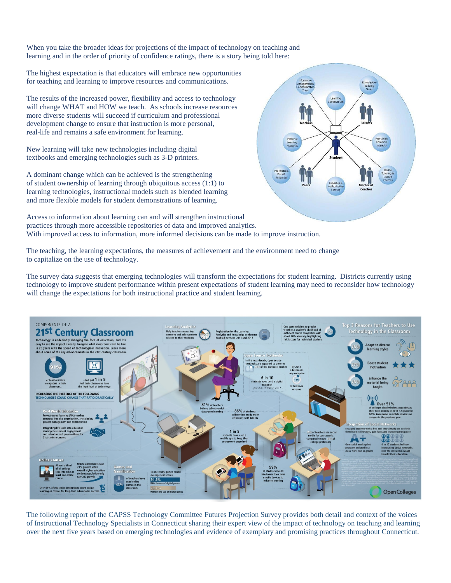When you take the broader ideas for projections of the impact of technology on teaching and learning and in the order of priority of confidence ratings, there is a story being told here:

The highest expectation is that educators will embrace new opportunities for teaching and learning to improve resources and communications.

The results of the increased power, flexibility and access to technology will change WHAT and HOW we teach. As schools increase resources more diverse students will succeed if curriculum and professional development change to ensure that instruction is more personal, real-life and remains a safe environment for learning.

New learning will take new technologies including digital textbooks and emerging technologies such as 3-D printers.

A dominant change which can be achieved is the strengthening of student ownership of learning through ubiquitous access (1:1) to learning technologies, instructional models such as blended learning and more flexible models for student demonstrations of learning.



Access to information about learning can and will strengthen instructional practices through more accessible repositories of data and improved analytics. With improved access to information, more informed decisions can be made to improve instruction.

The teaching, the learning expectations, the measures of achievement and the environment need to change to capitalize on the use of technology.

The survey data suggests that emerging technologies will transform the expectations for student learning. Districts currently using technology to improve student performance within present expectations of student learning may need to reconsider how technology will change the expectations for both instructional practice and student learning.



The following report of the CAPSS Technology Committee Futures Projection Survey provides both detail and context of the voices of Instructional Technology Specialists in Connecticut sharing their expert view of the impact of technology on teaching and learning over the next five years based on emerging technologies and evidence of exemplary and promising practices throughout Connecticut.